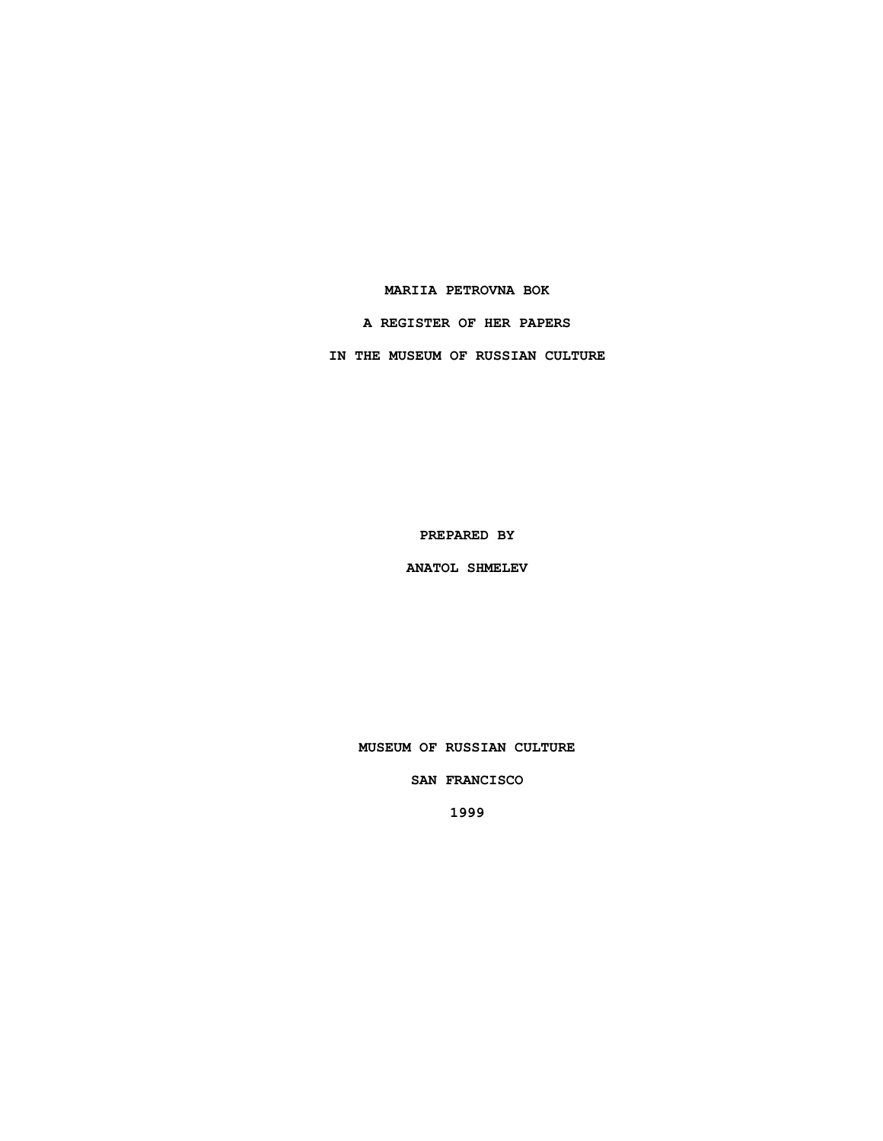## **MARIIA PETROVNA BOK**

**A REGISTER OF HER PAPERS**

**IN THE MUSEUM OF RUSSIAN CULTURE**

**PREPARED BY**

**ANATOL SHMELEV**

**MUSEUM OF RUSSIAN CULTURE**

**SAN FRANCISCO**

**1999**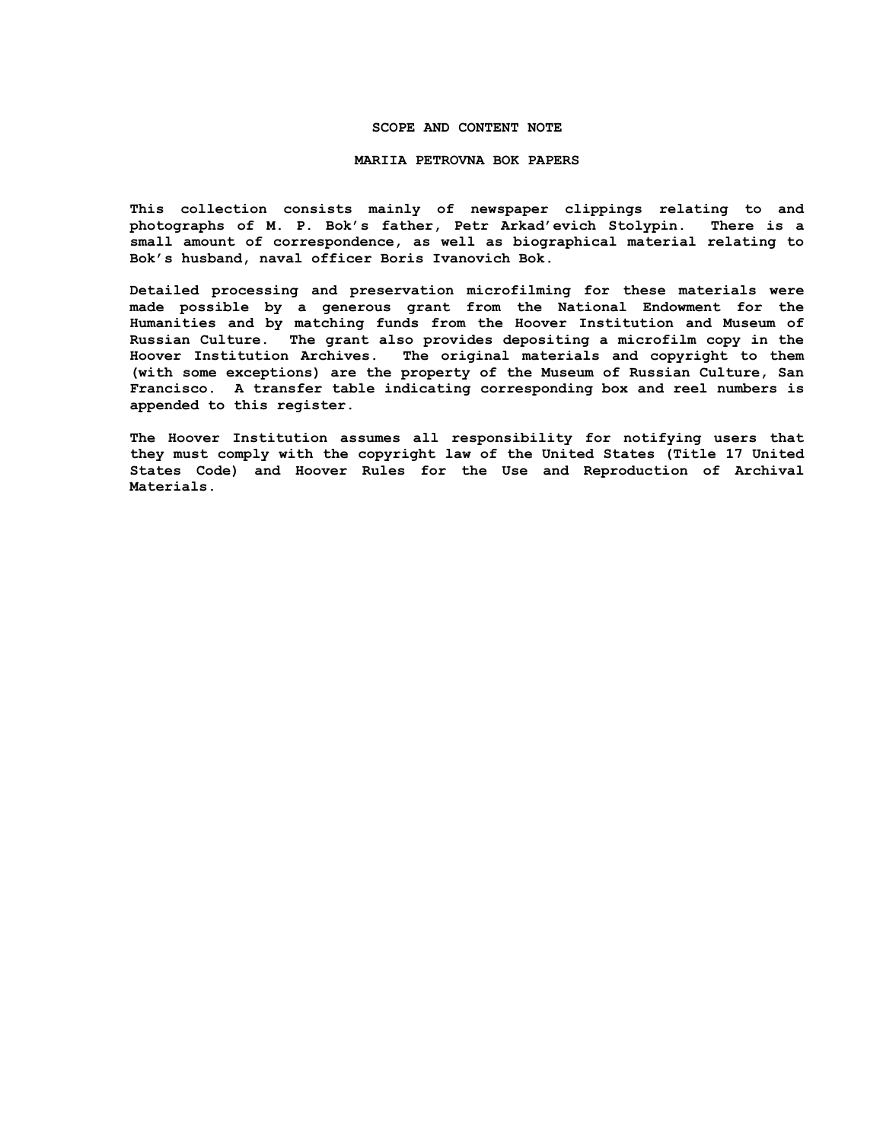## **SCOPE AND CONTENT NOTE**

#### **MARIIA PETROVNA BOK PAPERS**

**This collection consists mainly of newspaper clippings relating to and photographs of M. P. Bok's father, Petr Arkad'evich Stolypin. There is a small amount of correspondence, as well as biographical material relating to Bok's husband, naval officer Boris Ivanovich Bok.**

**Detailed processing and preservation microfilming for these materials were made possible by a generous grant from the National Endowment for the Humanities and by matching funds from the Hoover Institution and Museum of Russian Culture. The grant also provides depositing a microfilm copy in the Hoover Institution Archives. The original materials and copyright to them (with some exceptions) are the property of the Museum of Russian Culture, San Francisco. A transfer table indicating corresponding box and reel numbers is appended to this register.**

**The Hoover Institution assumes all responsibility for notifying users that they must comply with the copyright law of the United States (Title 17 United States Code) and Hoover Rules for the Use and Reproduction of Archival Materials.**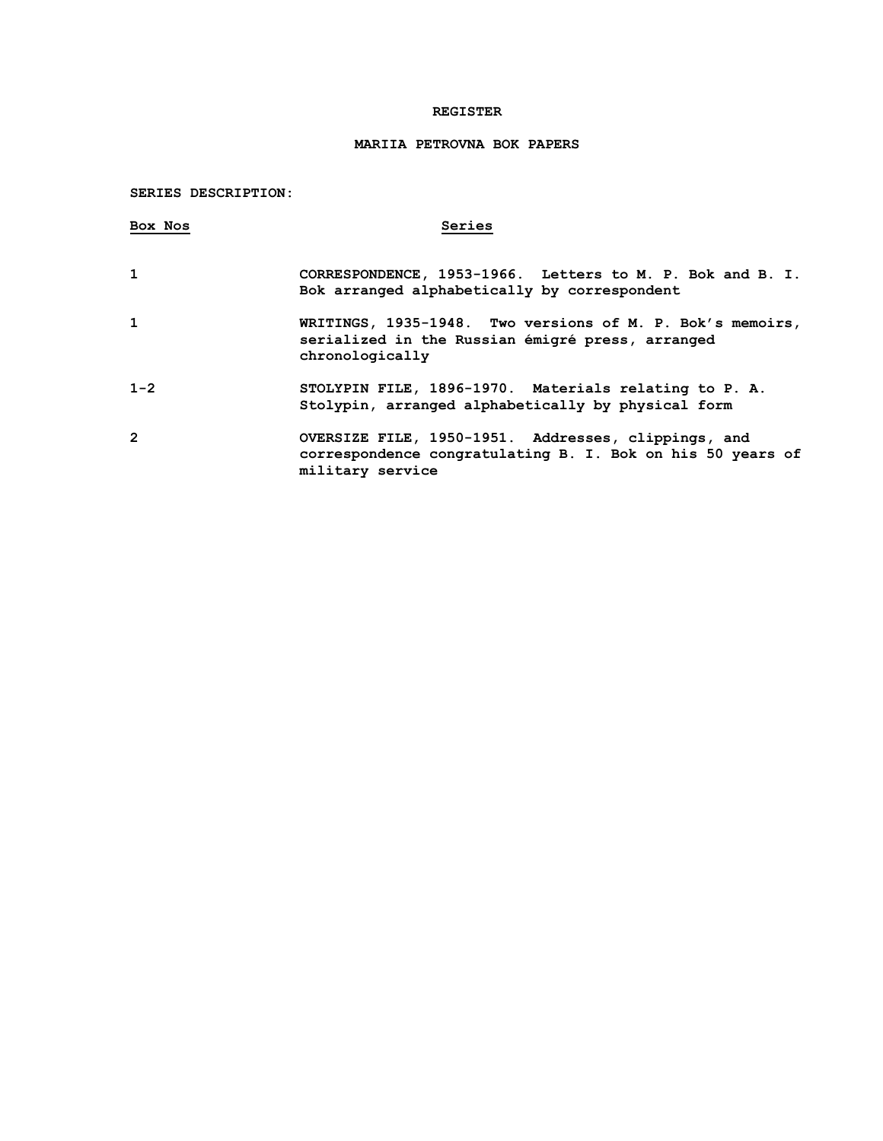## **REGISTER**

# **MARIIA PETROVNA BOK PAPERS**

# **SERIES DESCRIPTION:**

| Box Nos        | Series                                                                                                                                |
|----------------|---------------------------------------------------------------------------------------------------------------------------------------|
| 1              | CORRESPONDENCE, 1953-1966. Letters to M. P. Bok and B. I.<br>Bok arranged alphabetically by correspondent                             |
| $\mathbf{1}$   | WRITINGS, 1935-1948. Two versions of M. P. Bok's memoirs,<br>serialized in the Russian émigré press, arranged<br>chronologically      |
| $1 - 2$        | STOLYPIN FILE, 1896-1970. Materials relating to P. A.<br>Stolypin, arranged alphabetically by physical form                           |
| $\overline{2}$ | OVERSIZE FILE, 1950-1951. Addresses, clippings, and<br>correspondence congratulating B. I. Bok on his 50 years of<br>military service |